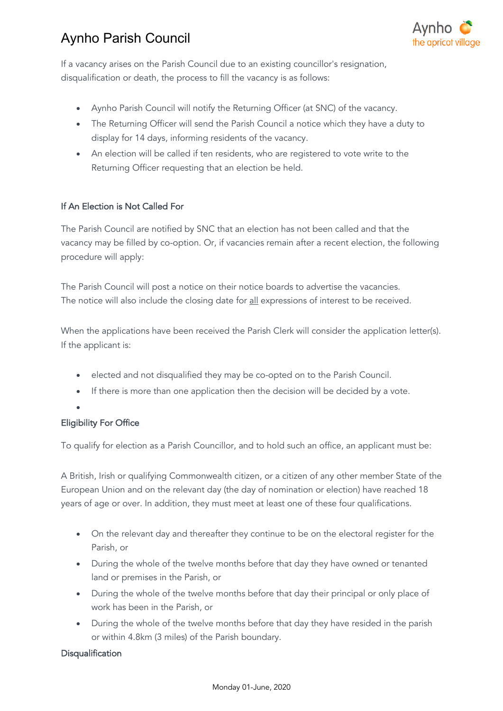# Aynho Parish Council



If a vacancy arises on the Parish Council due to an existing councillor's resignation, disqualification or death, the process to fill the vacancy is as follows:

- Aynho Parish Council will notify the Returning Officer (at SNC) of the vacancy.
- The Returning Officer will send the Parish Council a notice which they have a duty to display for 14 days, informing residents of the vacancy.
- An election will be called if ten residents, who are registered to vote write to the Returning Officer requesting that an election be held.

#### If An Election is Not Called For

The Parish Council are notified by SNC that an election has not been called and that the vacancy may be filled by co-option. Or, if vacancies remain after a recent election, the following procedure will apply:

The Parish Council will post a notice on their notice boards to advertise the vacancies. The notice will also include the closing date for all expressions of interest to be received.

When the applications have been received the Parish Clerk will consider the application letter(s). If the applicant is:

- elected and not disqualified they may be co-opted on to the Parish Council.
- If there is more than one application then the decision will be decided by a vote.

•

### Eligibility For Office

To qualify for election as a Parish Councillor, and to hold such an office, an applicant must be:

A British, Irish or qualifying Commonwealth citizen, or a citizen of any other member State of the European Union and on the relevant day (the day of nomination or election) have reached 18 years of age or over. In addition, they must meet at least one of these four qualifications.

- On the relevant day and thereafter they continue to be on the electoral register for the Parish, or
- During the whole of the twelve months before that day they have owned or tenanted land or premises in the Parish, or
- During the whole of the twelve months before that day their principal or only place of work has been in the Parish, or
- During the whole of the twelve months before that day they have resided in the parish or within 4.8km (3 miles) of the Parish boundary.

#### **Disqualification**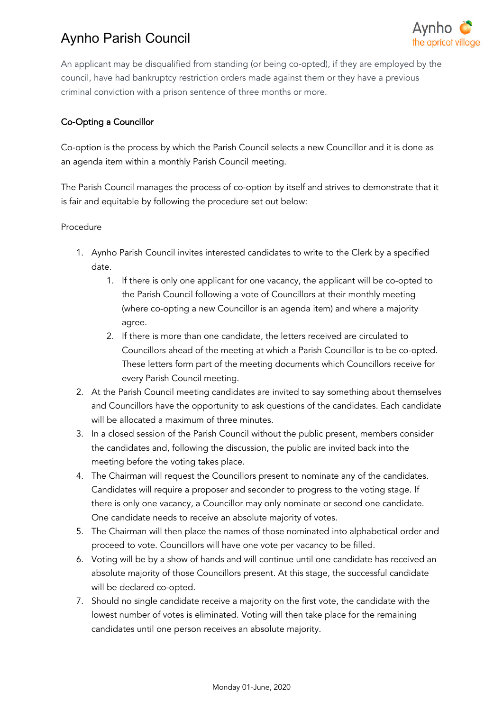# Aynho Parish Council



An applicant may be disqualified from standing (or being co-opted), if they are employed by the council, have had bankruptcy restriction orders made against them or they have a previous criminal conviction with a prison sentence of three months or more.

### Co-Opting a Councillor

Co-option is the process by which the Parish Council selects a new Councillor and it is done as an agenda item within a monthly Parish Council meeting.

The Parish Council manages the process of co-option by itself and strives to demonstrate that it is fair and equitable by following the procedure set out below:

#### Procedure

- 1. Aynho Parish Council invites interested candidates to write to the Clerk by a specified date.
	- 1. If there is only one applicant for one vacancy, the applicant will be co-opted to the Parish Council following a vote of Councillors at their monthly meeting (where co-opting a new Councillor is an agenda item) and where a majority agree.
	- 2. If there is more than one candidate, the letters received are circulated to Councillors ahead of the meeting at which a Parish Councillor is to be co-opted. These letters form part of the meeting documents which Councillors receive for every Parish Council meeting.
- 2. At the Parish Council meeting candidates are invited to say something about themselves and Councillors have the opportunity to ask questions of the candidates. Each candidate will be allocated a maximum of three minutes.
- 3. In a closed session of the Parish Council without the public present, members consider the candidates and, following the discussion, the public are invited back into the meeting before the voting takes place.
- 4. The Chairman will request the Councillors present to nominate any of the candidates. Candidates will require a proposer and seconder to progress to the voting stage. If there is only one vacancy, a Councillor may only nominate or second one candidate. One candidate needs to receive an absolute majority of votes.
- 5. The Chairman will then place the names of those nominated into alphabetical order and proceed to vote. Councillors will have one vote per vacancy to be filled.
- 6. Voting will be by a show of hands and will continue until one candidate has received an absolute majority of those Councillors present. At this stage, the successful candidate will be declared co-opted.
- 7. Should no single candidate receive a majority on the first vote, the candidate with the lowest number of votes is eliminated. Voting will then take place for the remaining candidates until one person receives an absolute majority.